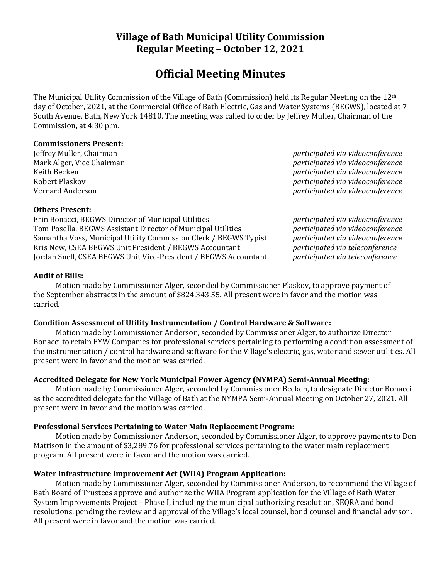# **Village of Bath Municipal Utility Commission Regular Meeting – October 12, 2021**

# **Official Meeting Minutes**

The Municipal Utility Commission of the Village of Bath (Commission) held its Regular Meeting on the 12th day of October, 2021, at the Commercial Office of Bath Electric, Gas and Water Systems (BEGWS), located at 7 South Avenue, Bath, New York 14810. The meeting was called to order by Jeffrey Muller, Chairman of the Commission, at 4:30 p.m.

#### **Commissioners Present:**

Jeffrey Muller, Chairman *participated via videoconference* Mark Alger, Vice Chairman *participated via videoconference* Keith Becken *participated via videoconference* Robert Plaskov *participated via videoconference* Vernard Anderson *participated via videoconference*

#### **Others Present:**

Erin Bonacci, BEGWS Director of Municipal Utilities *participated via videoconference* Tom Posella, BEGWS Assistant Director of Municipal Utilities *participated via videoconference* Samantha Voss, Municipal Utility Commission Clerk / BEGWS Typist *participated via videoconference* Kris New, CSEA BEGWS Unit President / BEGWS Accountant *participated via teleconference* Jordan Snell, CSEA BEGWS Unit Vice-President / BEGWS Accountant *participated via teleconference*

# **Audit of Bills:**

Motion made by Commissioner Alger, seconded by Commissioner Plaskov, to approve payment of the September abstracts in the amount of \$824,343.55. All present were in favor and the motion was carried.

# **Condition Assessment of Utility Instrumentation / Control Hardware & Software:**

Motion made by Commissioner Anderson, seconded by Commissioner Alger, to authorize Director Bonacci to retain EYW Companies for professional services pertaining to performing a condition assessment of the instrumentation / control hardware and software for the Village's electric, gas, water and sewer utilities. All present were in favor and the motion was carried.

# **Accredited Delegate for New York Municipal Power Agency (NYMPA) Semi-Annual Meeting:**

Motion made by Commissioner Alger, seconded by Commissioner Becken, to designate Director Bonacci as the accredited delegate for the Village of Bath at the NYMPA Semi-Annual Meeting on October 27, 2021. All present were in favor and the motion was carried.

# **Professional Services Pertaining to Water Main Replacement Program:**

Motion made by Commissioner Anderson, seconded by Commissioner Alger, to approve payments to Don Mattison in the amount of \$3,289.76 for professional services pertaining to the water main replacement program. All present were in favor and the motion was carried.

# **Water Infrastructure Improvement Act (WIIA) Program Application:**

Motion made by Commissioner Alger, seconded by Commissioner Anderson, to recommend the Village of Bath Board of Trustees approve and authorize the WIIA Program application for the Village of Bath Water System Improvements Project – Phase I, including the municipal authorizing resolution, SEQRA and bond resolutions, pending the review and approval of the Village's local counsel, bond counsel and financial advisor . All present were in favor and the motion was carried.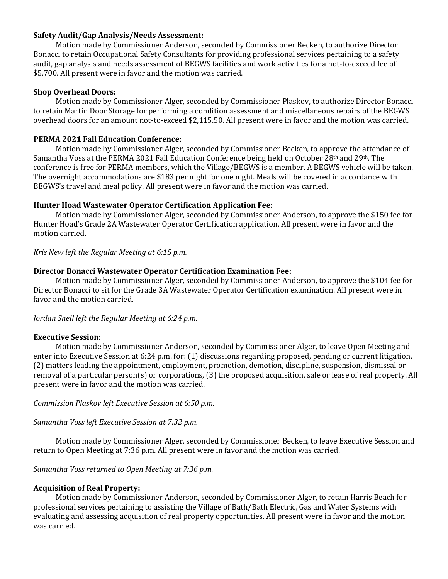#### **Safety Audit/Gap Analysis/Needs Assessment:**

Motion made by Commissioner Anderson, seconded by Commissioner Becken, to authorize Director Bonacci to retain Occupational Safety Consultants for providing professional services pertaining to a safety audit, gap analysis and needs assessment of BEGWS facilities and work activities for a not-to-exceed fee of \$5,700. All present were in favor and the motion was carried.

#### **Shop Overhead Doors:**

Motion made by Commissioner Alger, seconded by Commissioner Plaskov, to authorize Director Bonacci to retain Martin Door Storage for performing a condition assessment and miscellaneous repairs of the BEGWS overhead doors for an amount not-to-exceed \$2,115.50. All present were in favor and the motion was carried.

## **PERMA 2021 Fall Education Conference:**

Motion made by Commissioner Alger, seconded by Commissioner Becken, to approve the attendance of Samantha Voss at the PERMA 2021 Fall Education Conference being held on October 28th and 29th. The conference is free for PERMA members, which the Village/BEGWS is a member. A BEGWS vehicle will be taken. The overnight accommodations are \$183 per night for one night. Meals will be covered in accordance with BEGWS's travel and meal policy. All present were in favor and the motion was carried.

#### **Hunter Hoad Wastewater Operator Certification Application Fee:**

Motion made by Commissioner Alger, seconded by Commissioner Anderson, to approve the \$150 fee for Hunter Hoad's Grade 2A Wastewater Operator Certification application. All present were in favor and the motion carried.

*Kris New left the Regular Meeting at 6:15 p.m.*

#### **Director Bonacci Wastewater Operator Certification Examination Fee:**

Motion made by Commissioner Alger, seconded by Commissioner Anderson, to approve the \$104 fee for Director Bonacci to sit for the Grade 3A Wastewater Operator Certification examination. All present were in favor and the motion carried.

*Jordan Snell left the Regular Meeting at 6:24 p.m.*

#### **Executive Session:**

Motion made by Commissioner Anderson, seconded by Commissioner Alger, to leave Open Meeting and enter into Executive Session at 6:24 p.m. for: (1) discussions regarding proposed, pending or current litigation, (2) matters leading the appointment, employment, promotion, demotion, discipline, suspension, dismissal or removal of a particular person(s) or corporations, (3) the proposed acquisition, sale or lease of real property. All present were in favor and the motion was carried.

*Commission Plaskov left Executive Session at 6:50 p.m.*

*Samantha Voss left Executive Session at 7:32 p.m.*

Motion made by Commissioner Alger, seconded by Commissioner Becken, to leave Executive Session and return to Open Meeting at 7:36 p.m. All present were in favor and the motion was carried.

*Samantha Voss returned to Open Meeting at 7:36 p.m.*

# **Acquisition of Real Property:**

Motion made by Commissioner Anderson, seconded by Commissioner Alger, to retain Harris Beach for professional services pertaining to assisting the Village of Bath/Bath Electric, Gas and Water Systems with evaluating and assessing acquisition of real property opportunities. All present were in favor and the motion was carried.